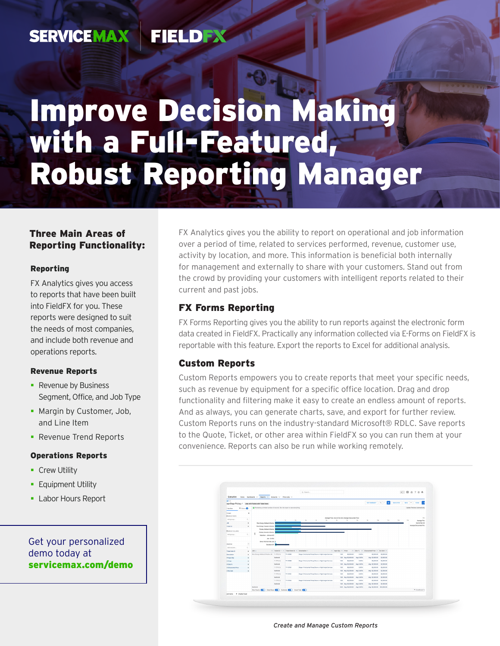#### **SERVICEMAX** FIELDEX

# Improve Decision Making with a Full-Featured, Robust Reporting Manager

## Three Main Areas of Reporting Functionality:

#### Reporting

FX Analytics gives you access to reports that have been built into FieldFX for you. These reports were designed to suit the needs of most companies, and include both revenue and operations reports.

#### Revenue Reports

- Revenue by Business Segment, Office, and Job Type
- **Margin by Customer, Job,** and Line Item
- **Revenue Trend Reports**

#### Operations Reports

- **Crew Utility**
- **Equipment Utility**
- **Labor Hours Report**

### Get your personalized demo today at [servicemax.com/demo](http://servicemax.com/demo)

FX Analytics gives you the ability to report on operational and job information over a period of time, related to services performed, revenue, customer use, activity by location, and more. This information is beneficial both internally for management and externally to share with your customers. Stand out from the crowd by providing your customers with intelligent reports related to their current and past jobs.

### FX Forms Reporting

FX Forms Reporting gives you the ability to run reports against the electronic form data created in FieldFX. Practically any information collected via E-Forms on FieldFX is reportable with this feature. Export the reports to Excel for additional analysis.

### Custom Reports

Custom Reports empowers you to create reports that meet your specific needs, such as revenue by equipment for a specific office location. Drag and drop functionality and filtering make it easy to create an endless amount of reports. And as always, you can generate charts, save, and export for further review. Custom Reports runs on the industry-standard Microsoft® RDLC. Save reports to the Quote, Ticket, or other area within FieldFX so you can run them at your convenience. Reports can also be run while working remotely.